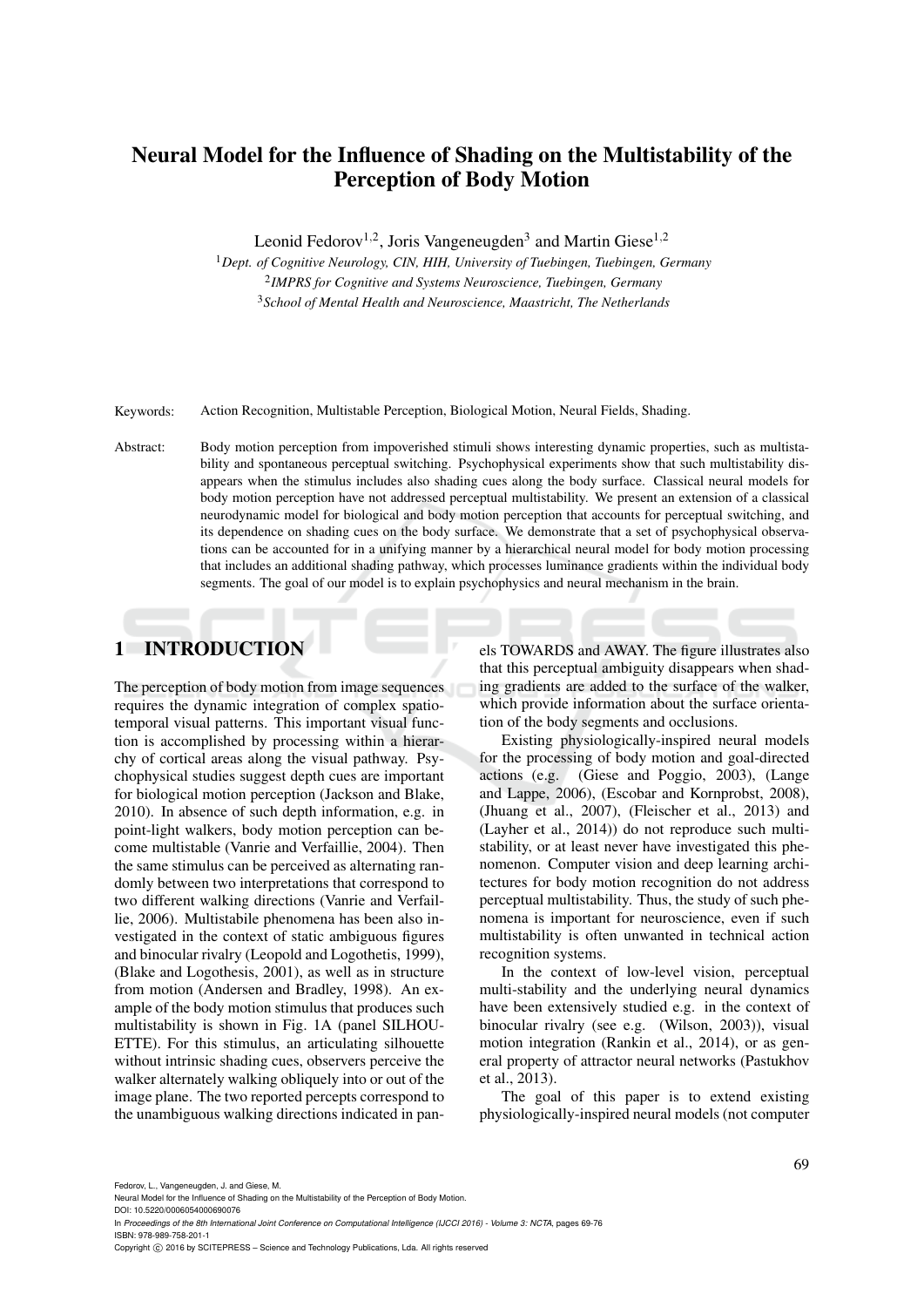# Neural Model for the Influence of Shading on the Multistability of the Perception of Body Motion

Leonid Fedorov<sup>1,2</sup>, Joris Vangeneugden<sup>3</sup> and Martin Giese<sup>1,2</sup>

<sup>1</sup>*Dept. of Cognitive Neurology, CIN, HIH, University of Tuebingen, Tuebingen, Germany* 2 *IMPRS for Cognitive and Systems Neuroscience, Tuebingen, Germany* <sup>3</sup>*School of Mental Health and Neuroscience, Maastricht, The Netherlands*

Keywords: Action Recognition, Multistable Perception, Biological Motion, Neural Fields, Shading.

Abstract: Body motion perception from impoverished stimuli shows interesting dynamic properties, such as multistability and spontaneous perceptual switching. Psychophysical experiments show that such multistability disappears when the stimulus includes also shading cues along the body surface. Classical neural models for body motion perception have not addressed perceptual multistability. We present an extension of a classical neurodynamic model for biological and body motion perception that accounts for perceptual switching, and its dependence on shading cues on the body surface. We demonstrate that a set of psychophysical observations can be accounted for in a unifying manner by a hierarchical neural model for body motion processing that includes an additional shading pathway, which processes luminance gradients within the individual body segments. The goal of our model is to explain psychophysics and neural mechanism in the brain.

## 1 INTRODUCTION

The perception of body motion from image sequences requires the dynamic integration of complex spatiotemporal visual patterns. This important visual function is accomplished by processing within a hierarchy of cortical areas along the visual pathway. Psychophysical studies suggest depth cues are important for biological motion perception (Jackson and Blake, 2010). In absence of such depth information, e.g. in point-light walkers, body motion perception can become multistable (Vanrie and Verfaillie, 2004). Then the same stimulus can be perceived as alternating randomly between two interpretations that correspond to two different walking directions (Vanrie and Verfaillie, 2006). Multistabile phenomena has been also investigated in the context of static ambiguous figures and binocular rivalry (Leopold and Logothetis, 1999), (Blake and Logothesis, 2001), as well as in structure from motion (Andersen and Bradley, 1998). An example of the body motion stimulus that produces such multistability is shown in Fig. 1A (panel SILHOU-ETTE). For this stimulus, an articulating silhouette without intrinsic shading cues, observers perceive the walker alternately walking obliquely into or out of the image plane. The two reported percepts correspond to the unambiguous walking directions indicated in panels TOWARDS and AWAY. The figure illustrates also that this perceptual ambiguity disappears when shading gradients are added to the surface of the walker, which provide information about the surface orientation of the body segments and occlusions.

Existing physiologically-inspired neural models for the processing of body motion and goal-directed actions (e.g. (Giese and Poggio, 2003), (Lange and Lappe, 2006), (Escobar and Kornprobst, 2008), (Jhuang et al., 2007), (Fleischer et al., 2013) and (Layher et al., 2014)) do not reproduce such multistability, or at least never have investigated this phenomenon. Computer vision and deep learning architectures for body motion recognition do not address perceptual multistability. Thus, the study of such phenomena is important for neuroscience, even if such multistability is often unwanted in technical action recognition systems.

In the context of low-level vision, perceptual multi-stability and the underlying neural dynamics have been extensively studied e.g. in the context of binocular rivalry (see e.g. (Wilson, 2003)), visual motion integration (Rankin et al., 2014), or as general property of attractor neural networks (Pastukhov et al., 2013).

The goal of this paper is to extend existing physiologically-inspired neural models (not computer

Fedorov, L., Vangeneugden, J. and Giese, M.

DOI: 10.5220/0006054000690076 In *Proceedings of the 8th International Joint Conference on Computational Intelligence (IJCCI 2016) - Volume 3: NCTA*, pages 69-76 ISBN: 978-989-758-201-1

Copyright (C) 2016 by SCITEPRESS - Science and Technology Publications, Lda. All rights reserved

Neural Model for the Influence of Shading on the Multistability of the Perception of Body Motion.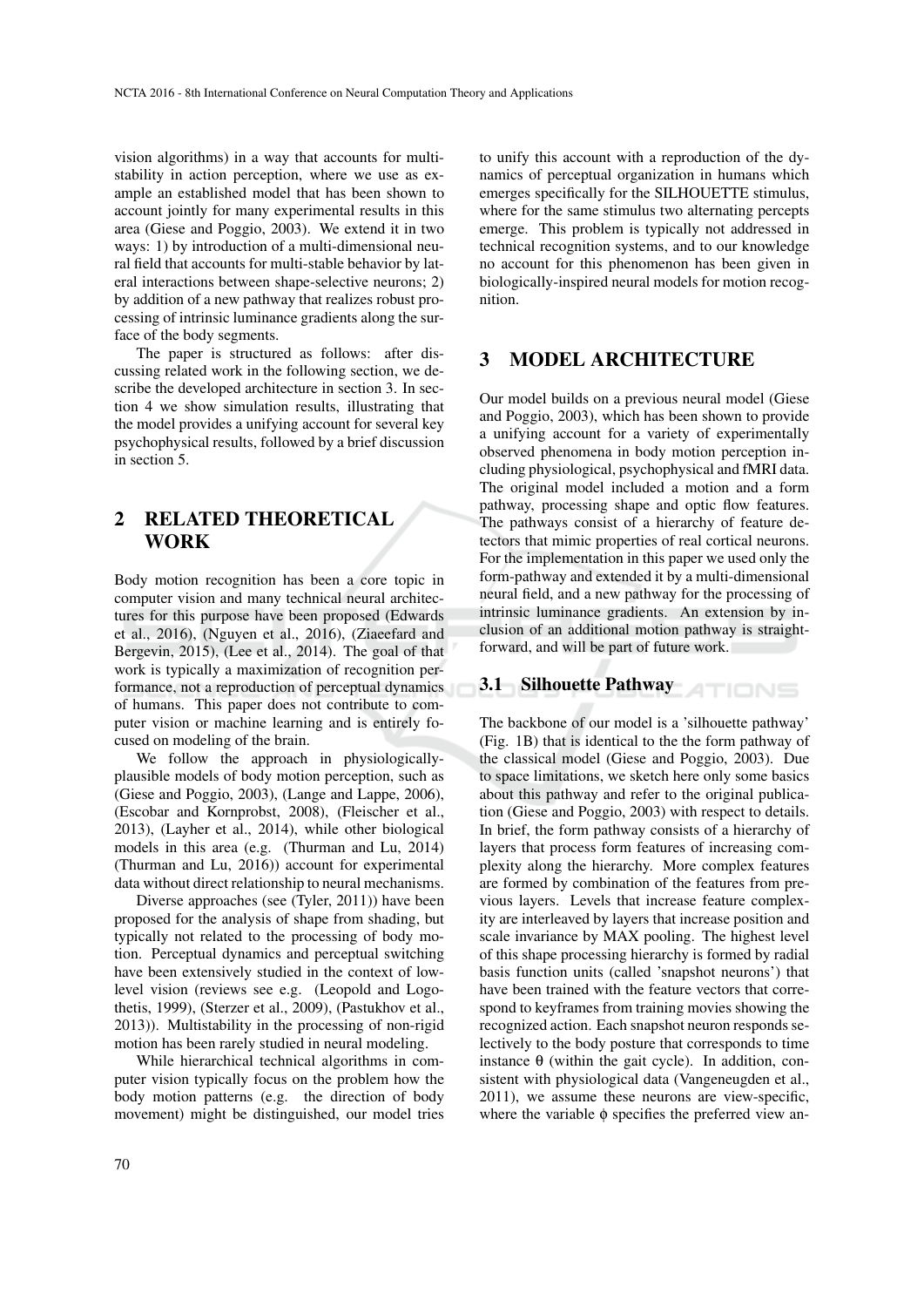vision algorithms) in a way that accounts for multistability in action perception, where we use as example an established model that has been shown to account jointly for many experimental results in this area (Giese and Poggio, 2003). We extend it in two ways: 1) by introduction of a multi-dimensional neural field that accounts for multi-stable behavior by lateral interactions between shape-selective neurons; 2) by addition of a new pathway that realizes robust processing of intrinsic luminance gradients along the surface of the body segments.

The paper is structured as follows: after discussing related work in the following section, we describe the developed architecture in section 3. In section 4 we show simulation results, illustrating that the model provides a unifying account for several key psychophysical results, followed by a brief discussion in section 5.

### 2 RELATED THEORETICAL WORK

Body motion recognition has been a core topic in computer vision and many technical neural architectures for this purpose have been proposed (Edwards et al., 2016), (Nguyen et al., 2016), (Ziaeefard and Bergevin, 2015), (Lee et al., 2014). The goal of that work is typically a maximization of recognition performance, not a reproduction of perceptual dynamics of humans. This paper does not contribute to computer vision or machine learning and is entirely focused on modeling of the brain.

We follow the approach in physiologicallyplausible models of body motion perception, such as (Giese and Poggio, 2003), (Lange and Lappe, 2006), (Escobar and Kornprobst, 2008), (Fleischer et al., 2013), (Layher et al., 2014), while other biological models in this area (e.g. (Thurman and Lu, 2014) (Thurman and Lu, 2016)) account for experimental data without direct relationship to neural mechanisms.

Diverse approaches (see (Tyler, 2011)) have been proposed for the analysis of shape from shading, but typically not related to the processing of body motion. Perceptual dynamics and perceptual switching have been extensively studied in the context of lowlevel vision (reviews see e.g. (Leopold and Logothetis, 1999), (Sterzer et al., 2009), (Pastukhov et al., 2013)). Multistability in the processing of non-rigid motion has been rarely studied in neural modeling.

While hierarchical technical algorithms in computer vision typically focus on the problem how the body motion patterns (e.g. the direction of body movement) might be distinguished, our model tries

to unify this account with a reproduction of the dynamics of perceptual organization in humans which emerges specifically for the SILHOUETTE stimulus, where for the same stimulus two alternating percepts emerge. This problem is typically not addressed in technical recognition systems, and to our knowledge no account for this phenomenon has been given in biologically-inspired neural models for motion recognition.

#### 3 MODEL ARCHITECTURE

Our model builds on a previous neural model (Giese and Poggio, 2003), which has been shown to provide a unifying account for a variety of experimentally observed phenomena in body motion perception including physiological, psychophysical and fMRI data. The original model included a motion and a form pathway, processing shape and optic flow features. The pathways consist of a hierarchy of feature detectors that mimic properties of real cortical neurons. For the implementation in this paper we used only the form-pathway and extended it by a multi-dimensional neural field, and a new pathway for the processing of intrinsic luminance gradients. An extension by inclusion of an additional motion pathway is straightforward, and will be part of future work.

# 3.1 Silhouette Pathway

The backbone of our model is a 'silhouette pathway' (Fig. 1B) that is identical to the the form pathway of the classical model (Giese and Poggio, 2003). Due to space limitations, we sketch here only some basics about this pathway and refer to the original publication (Giese and Poggio, 2003) with respect to details. In brief, the form pathway consists of a hierarchy of layers that process form features of increasing complexity along the hierarchy. More complex features are formed by combination of the features from previous layers. Levels that increase feature complexity are interleaved by layers that increase position and scale invariance by MAX pooling. The highest level of this shape processing hierarchy is formed by radial basis function units (called 'snapshot neurons') that have been trained with the feature vectors that correspond to keyframes from training movies showing the recognized action. Each snapshot neuron responds selectively to the body posture that corresponds to time instance  $θ$  (within the gait cycle). In addition, consistent with physiological data (Vangeneugden et al., 2011), we assume these neurons are view-specific, where the variable φ specifies the preferred view an-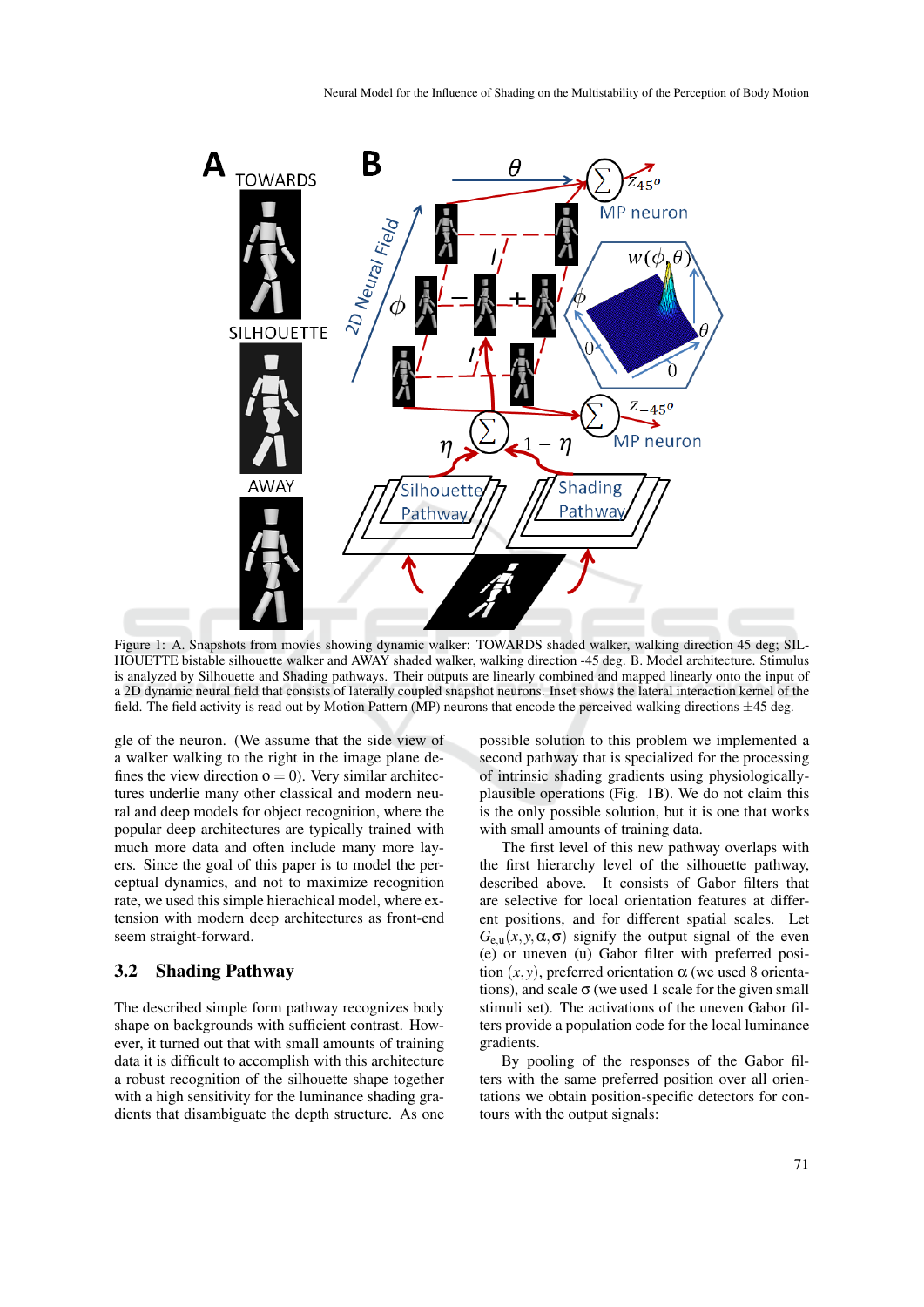

Figure 1: A. Snapshots from movies showing dynamic walker: TOWARDS shaded walker, walking direction 45 deg; SIL-HOUETTE bistable silhouette walker and AWAY shaded walker, walking direction -45 deg. B. Model architecture. Stimulus is analyzed by Silhouette and Shading pathways. Their outputs are linearly combined and mapped linearly onto the input of a 2D dynamic neural field that consists of laterally coupled snapshot neurons. Inset shows the lateral interaction kernel of the field. The field activity is read out by Motion Pattern (MP) neurons that encode the perceived walking directions  $\pm 45$  deg.

gle of the neuron. (We assume that the side view of a walker walking to the right in the image plane defines the view direction  $\phi = 0$ ). Very similar architectures underlie many other classical and modern neural and deep models for object recognition, where the popular deep architectures are typically trained with much more data and often include many more layers. Since the goal of this paper is to model the perceptual dynamics, and not to maximize recognition rate, we used this simple hierachical model, where extension with modern deep architectures as front-end seem straight-forward.

#### 3.2 Shading Pathway

The described simple form pathway recognizes body shape on backgrounds with sufficient contrast. However, it turned out that with small amounts of training data it is difficult to accomplish with this architecture a robust recognition of the silhouette shape together with a high sensitivity for the luminance shading gradients that disambiguate the depth structure. As one possible solution to this problem we implemented a second pathway that is specialized for the processing of intrinsic shading gradients using physiologicallyplausible operations (Fig. 1B). We do not claim this is the only possible solution, but it is one that works with small amounts of training data.

The first level of this new pathway overlaps with the first hierarchy level of the silhouette pathway, described above. It consists of Gabor filters that are selective for local orientation features at different positions, and for different spatial scales. Let  $G_{e,u}(x, y, \alpha, \sigma)$  signify the output signal of the even (e) or uneven (u) Gabor filter with preferred position  $(x, y)$ , preferred orientation  $\alpha$  (we used 8 orientations), and scale  $\sigma$  (we used 1 scale for the given small stimuli set). The activations of the uneven Gabor filters provide a population code for the local luminance gradients.

By pooling of the responses of the Gabor filters with the same preferred position over all orientations we obtain position-specific detectors for contours with the output signals: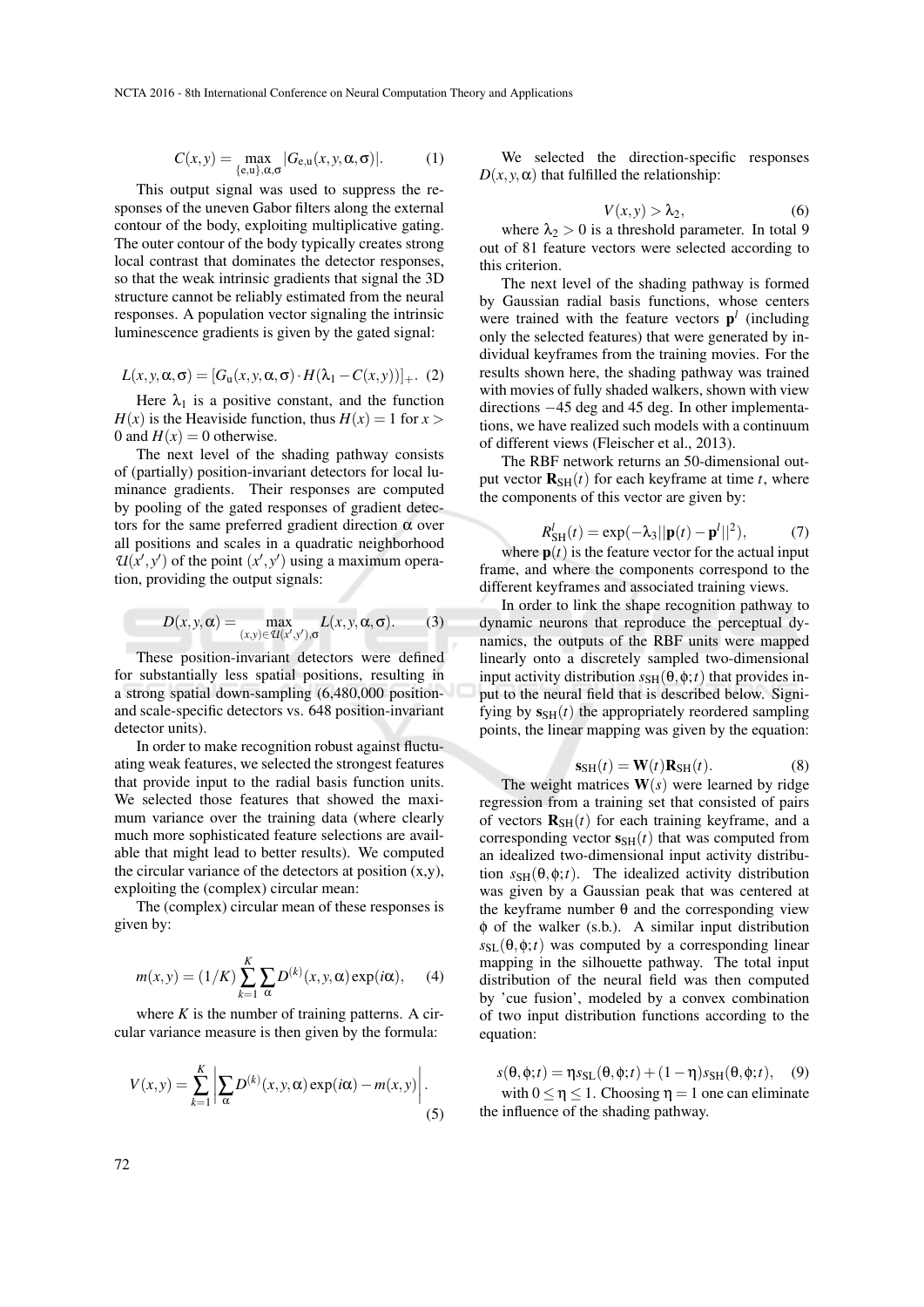$$
C(x,y) = \max_{\{e,u\},\alpha,\sigma} |G_{e,u}(x,y,\alpha,\sigma)|. \tag{1}
$$

This output signal was used to suppress the responses of the uneven Gabor filters along the external contour of the body, exploiting multiplicative gating. The outer contour of the body typically creates strong local contrast that dominates the detector responses, so that the weak intrinsic gradients that signal the 3D structure cannot be reliably estimated from the neural responses. A population vector signaling the intrinsic luminescence gradients is given by the gated signal:

$$
L(x, y, \alpha, \sigma) = [G_u(x, y, \alpha, \sigma) \cdot H(\lambda_1 - C(x, y))]_+.
$$
 (2)

Here  $\lambda_1$  is a positive constant, and the function  $H(x)$  is the Heaviside function, thus  $H(x) = 1$  for  $x >$ 0 and  $H(x) = 0$  otherwise.

The next level of the shading pathway consists of (partially) position-invariant detectors for local luminance gradients. Their responses are computed by pooling of the gated responses of gradient detectors for the same preferred gradient direction  $\alpha$  over all positions and scales in a quadratic neighborhood  $U(x', y')$  of the point  $(x', y')$  using a maximum operation, providing the output signals:

$$
D(x, y, \alpha) = \max_{(x, y) \in \mathcal{U}(x', y'), \sigma} L(x, y, \alpha, \sigma).
$$
 (3)

These position-invariant detectors were defined for substantially less spatial positions, resulting in a strong spatial down-sampling (6,480,000 positionand scale-specific detectors vs. 648 position-invariant detector units).

In order to make recognition robust against fluctuating weak features, we selected the strongest features that provide input to the radial basis function units. We selected those features that showed the maximum variance over the training data (where clearly much more sophisticated feature selections are available that might lead to better results). We computed the circular variance of the detectors at position  $(x,y)$ , exploiting the (complex) circular mean:

The (complex) circular mean of these responses is given by:

$$
m(x, y) = (1/K) \sum_{k=1}^{K} \sum_{\alpha} D^{(k)}(x, y, \alpha) \exp(i\alpha), \quad (4)
$$

where  $K$  is the number of training patterns. A circular variance measure is then given by the formula:

$$
V(x,y) = \sum_{k=1}^{K} \left| \sum_{\alpha} D^{(k)}(x, y, \alpha) \exp(i\alpha) - m(x, y) \right|.
$$
\n(5)

We selected the direction-specific responses  $D(x, y, \alpha)$  that fulfilled the relationship:

$$
V(x, y) > \lambda_2, \tag{6}
$$

where  $\lambda_2 > 0$  is a threshold parameter. In total 9 out of 81 feature vectors were selected according to this criterion.

The next level of the shading pathway is formed by Gaussian radial basis functions, whose centers were trained with the feature vectors  $p<sup>l</sup>$  (including only the selected features) that were generated by individual keyframes from the training movies. For the results shown here, the shading pathway was trained with movies of fully shaded walkers, shown with view directions −45 deg and 45 deg. In other implementations, we have realized such models with a continuum of different views (Fleischer et al., 2013).

The RBF network returns an 50-dimensional output vector  $\mathbf{R}_{\text{SH}}(t)$  for each keyframe at time *t*, where the components of this vector are given by:

$$
R_{\rm SH}^{l}(t) = \exp(-\lambda_3||\mathbf{p}(t) - \mathbf{p}^{l}||^{2}),\tag{7}
$$

where  $p(t)$  is the feature vector for the actual input frame, and where the components correspond to the different keyframes and associated training views.

In order to link the shape recognition pathway to dynamic neurons that reproduce the perceptual dynamics, the outputs of the RBF units were mapped linearly onto a discretely sampled two-dimensional input activity distribution  $s_{\text{SH}}(\theta, \phi; t)$  that provides input to the neural field that is described below. Signifying by  $s_{SH}(t)$  the appropriately reordered sampling points, the linear mapping was given by the equation:

$$
\mathbf{s}_{\mathrm{SH}}(t) = \mathbf{W}(t)\mathbf{R}_{\mathrm{SH}}(t). \tag{8}
$$

The weight matrices  $W(s)$  were learned by ridge regression from a training set that consisted of pairs of vectors  $\mathbf{R}_{\text{SH}}(t)$  for each training keyframe, and a corresponding vector  $s<sub>SH</sub>(t)$  that was computed from an idealized two-dimensional input activity distribution  $s_{SH}(\theta, \phi; t)$ . The idealized activity distribution was given by a Gaussian peak that was centered at the keyframe number  $θ$  and the corresponding view φ of the walker (s.b.). A similar input distribution  $s_{\text{SL}}(\theta, \phi; t)$  was computed by a corresponding linear mapping in the silhouette pathway. The total input distribution of the neural field was then computed by 'cue fusion', modeled by a convex combination of two input distribution functions according to the equation:

 $s(\theta, \phi; t) = \eta s_{SL}(\theta, \phi; t) + (1 - \eta)s_{SH}(\theta, \phi; t),$  (9) with  $0 \le \eta \le 1$ . Choosing  $\eta = 1$  one can eliminate the influence of the shading pathway.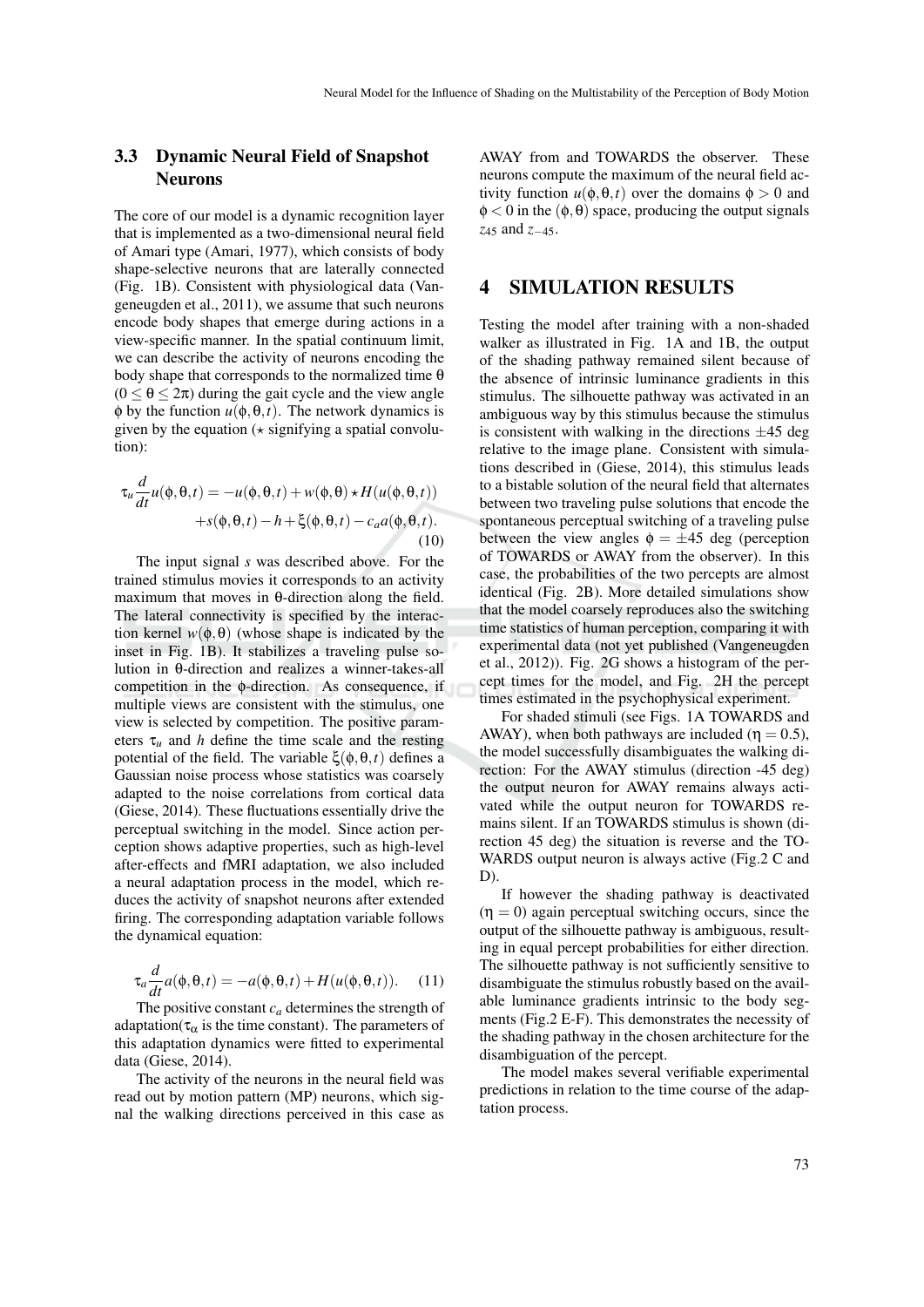### 3.3 Dynamic Neural Field of Snapshot Neurons

The core of our model is a dynamic recognition layer that is implemented as a two-dimensional neural field of Amari type (Amari, 1977), which consists of body shape-selective neurons that are laterally connected (Fig. 1B). Consistent with physiological data (Vangeneugden et al., 2011), we assume that such neurons encode body shapes that emerge during actions in a view-specific manner. In the spatial continuum limit, we can describe the activity of neurons encoding the body shape that corresponds to the normalized time  $\theta$  $(0 \le \theta \le 2\pi)$  during the gait cycle and the view angle  $\phi$  by the function  $u(\phi, \theta, t)$ . The network dynamics is given by the equation  $(*$  signifying a spatial convolution):

$$
\tau_u \frac{d}{dt} u(\phi, \theta, t) = -u(\phi, \theta, t) + w(\phi, \theta) \star H(u(\phi, \theta, t)) + s(\phi, \theta, t) - h + \xi(\phi, \theta, t) - c_a a(\phi, \theta, t).
$$
\n(10)

The input signal *s* was described above. For the trained stimulus movies it corresponds to an activity maximum that moves in θ-direction along the field. The lateral connectivity is specified by the interaction kernel  $w(\phi, \theta)$  (whose shape is indicated by the inset in Fig. 1B). It stabilizes a traveling pulse solution in θ-direction and realizes a winner-takes-all competition in the φ-direction. As consequence, if multiple views are consistent with the stimulus, one view is selected by competition. The positive parameters  $\tau_u$  and *h* define the time scale and the resting potential of the field. The variable ξ(φ,θ,*t*) defines a Gaussian noise process whose statistics was coarsely adapted to the noise correlations from cortical data (Giese, 2014). These fluctuations essentially drive the perceptual switching in the model. Since action perception shows adaptive properties, such as high-level after-effects and fMRI adaptation, we also included a neural adaptation process in the model, which reduces the activity of snapshot neurons after extended firing. The corresponding adaptation variable follows the dynamical equation:

$$
\tau_a \frac{d}{dt} a(\phi, \theta, t) = -a(\phi, \theta, t) + H(u(\phi, \theta, t)). \tag{11}
$$

The positive constant  $c_a$  determines the strength of adaptation( $\tau_{\alpha}$  is the time constant). The parameters of this adaptation dynamics were fitted to experimental data (Giese, 2014).

The activity of the neurons in the neural field was read out by motion pattern (MP) neurons, which signal the walking directions perceived in this case as

AWAY from and TOWARDS the observer. These neurons compute the maximum of the neural field activity function  $u(\phi, \theta, t)$  over the domains  $\phi > 0$  and  $\phi$  < 0 in the  $(\phi, \theta)$  space, producing the output signals *z*<sup>45</sup> and *z*−45.

### 4 SIMULATION RESULTS

Testing the model after training with a non-shaded walker as illustrated in Fig. 1A and 1B, the output of the shading pathway remained silent because of the absence of intrinsic luminance gradients in this stimulus. The silhouette pathway was activated in an ambiguous way by this stimulus because the stimulus is consistent with walking in the directions  $\pm 45$  deg relative to the image plane. Consistent with simulations described in (Giese, 2014), this stimulus leads to a bistable solution of the neural field that alternates between two traveling pulse solutions that encode the spontaneous perceptual switching of a traveling pulse between the view angles  $\phi = \pm 45$  deg (perception of TOWARDS or AWAY from the observer). In this case, the probabilities of the two percepts are almost identical (Fig. 2B). More detailed simulations show that the model coarsely reproduces also the switching time statistics of human perception, comparing it with experimental data (not yet published (Vangeneugden et al., 2012)). Fig. 2G shows a histogram of the percept times for the model, and Fig. 2H the percept times estimated in the psychophysical experiment.

For shaded stimuli (see Figs. 1A TOWARDS and AWAY), when both pathways are included ( $\eta = 0.5$ ), the model successfully disambiguates the walking direction: For the AWAY stimulus (direction -45 deg) the output neuron for AWAY remains always activated while the output neuron for TOWARDS remains silent. If an TOWARDS stimulus is shown (direction 45 deg) the situation is reverse and the TO-WARDS output neuron is always active (Fig.2 C and D).

If however the shading pathway is deactivated  $(\eta = 0)$  again perceptual switching occurs, since the output of the silhouette pathway is ambiguous, resulting in equal percept probabilities for either direction. The silhouette pathway is not sufficiently sensitive to disambiguate the stimulus robustly based on the available luminance gradients intrinsic to the body segments (Fig.2 E-F). This demonstrates the necessity of the shading pathway in the chosen architecture for the disambiguation of the percept.

The model makes several verifiable experimental predictions in relation to the time course of the adaptation process.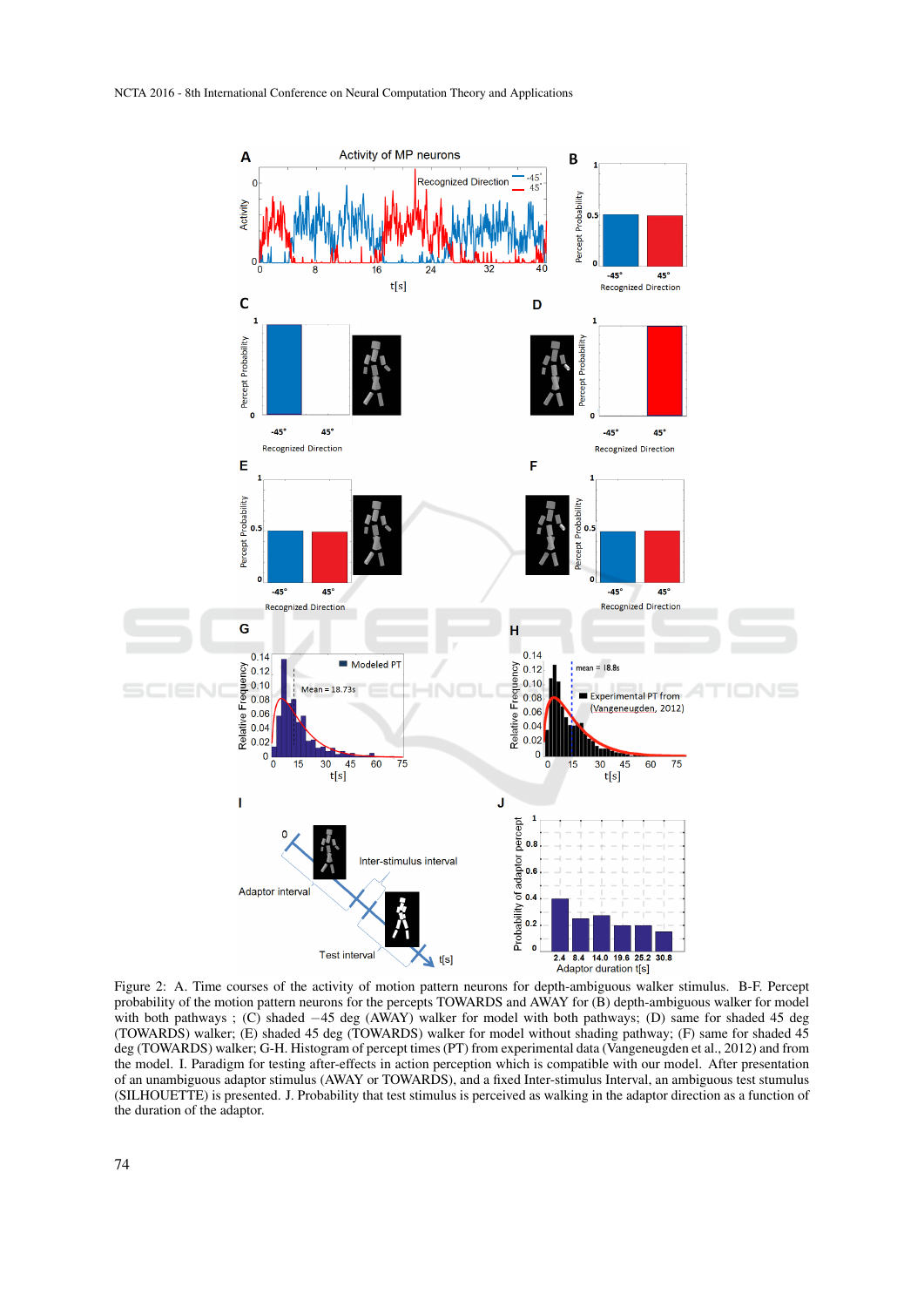

Figure 2: A. Time courses of the activity of motion pattern neurons for depth-ambiguous walker stimulus. B-F. Percept probability of the motion pattern neurons for the percepts TOWARDS and AWAY for (B) depth-ambiguous walker for model with both pathways ; (C) shaded −45 deg (AWAY) walker for model with both pathways; (D) same for shaded 45 deg (TOWARDS) walker; (E) shaded 45 deg (TOWARDS) walker for model without shading pathway; (F) same for shaded 45 deg (TOWARDS) walker; G-H. Histogram of percept times (PT) from experimental data (Vangeneugden et al., 2012) and from the model. I. Paradigm for testing after-effects in action perception which is compatible with our model. After presentation of an unambiguous adaptor stimulus (AWAY or TOWARDS), and a fixed Inter-stimulus Interval, an ambiguous test stumulus (SILHOUETTE) is presented. J. Probability that test stimulus is perceived as walking in the adaptor direction as a function of the duration of the adaptor.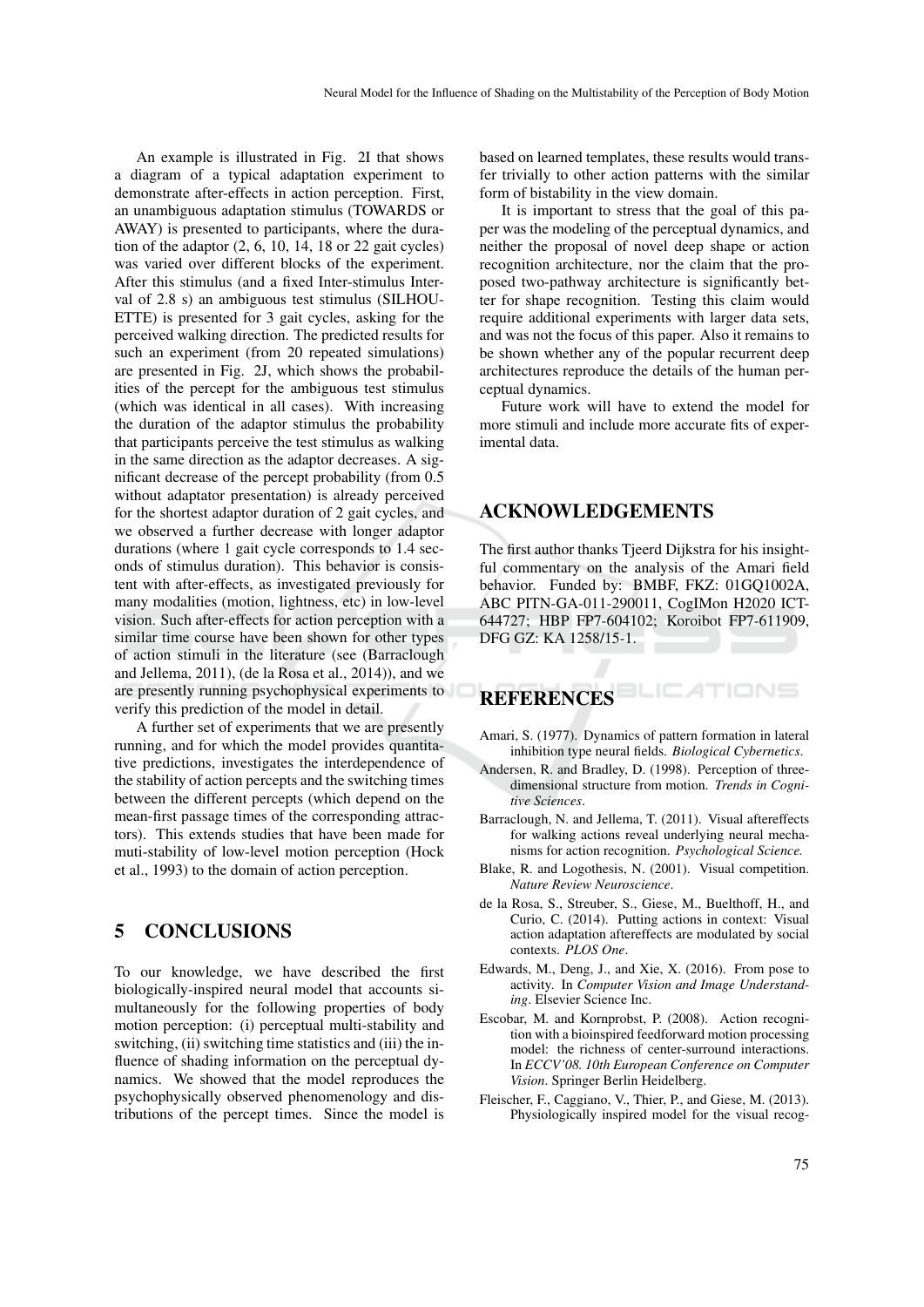An example is illustrated in Fig. 2I that shows a diagram of a typical adaptation experiment to demonstrate after-effects in action perception. First, an unambiguous adaptation stimulus (TOWARDS or AWAY) is presented to participants, where the duration of the adaptor (2, 6, 10, 14, 18 or 22 gait cycles) was varied over different blocks of the experiment. After this stimulus (and a fixed Inter-stimulus Interval of 2.8 s) an ambiguous test stimulus (SILHOU-ETTE) is presented for 3 gait cycles, asking for the perceived walking direction. The predicted results for such an experiment (from 20 repeated simulations) are presented in Fig. 2J, which shows the probabilities of the percept for the ambiguous test stimulus (which was identical in all cases). With increasing the duration of the adaptor stimulus the probability that participants perceive the test stimulus as walking in the same direction as the adaptor decreases. A significant decrease of the percept probability (from 0.5 without adaptator presentation) is already perceived for the shortest adaptor duration of 2 gait cycles, and we observed a further decrease with longer adaptor durations (where 1 gait cycle corresponds to 1.4 seconds of stimulus duration). This behavior is consistent with after-effects, as investigated previously for many modalities (motion, lightness, etc) in low-level vision. Such after-effects for action perception with a similar time course have been shown for other types of action stimuli in the literature (see (Barraclough and Jellema, 2011), (de la Rosa et al., 2014)), and we are presently running psychophysical experiments to verify this prediction of the model in detail.

A further set of experiments that we are presently running, and for which the model provides quantitative predictions, investigates the interdependence of the stability of action percepts and the switching times between the different percepts (which depend on the mean-first passage times of the corresponding attractors). This extends studies that have been made for muti-stability of low-level motion perception (Hock et al., 1993) to the domain of action perception.

#### 5 CONCLUSIONS

To our knowledge, we have described the first biologically-inspired neural model that accounts simultaneously for the following properties of body motion perception: (i) perceptual multi-stability and switching, (ii) switching time statistics and (iii) the influence of shading information on the perceptual dynamics. We showed that the model reproduces the psychophysically observed phenomenology and distributions of the percept times. Since the model is based on learned templates, these results would transfer trivially to other action patterns with the similar form of bistability in the view domain.

It is important to stress that the goal of this paper was the modeling of the perceptual dynamics, and neither the proposal of novel deep shape or action recognition architecture, nor the claim that the proposed two-pathway architecture is significantly better for shape recognition. Testing this claim would require additional experiments with larger data sets, and was not the focus of this paper. Also it remains to be shown whether any of the popular recurrent deep architectures reproduce the details of the human perceptual dynamics.

Future work will have to extend the model for more stimuli and include more accurate fits of experimental data.

#### ACKNOWLEDGEMENTS

The first author thanks Tjeerd Dijkstra for his insightful commentary on the analysis of the Amari field behavior. Funded by: BMBF, FKZ: 01GQ1002A, ABC PITN-GA-011-290011, CogIMon H2020 ICT-644727; HBP FP7-604102; Koroibot FP7-611909, DFG GZ: KA 1258/15-1.

#### **REFERENCES**

Amari, S. (1977). Dynamics of pattern formation in lateral inhibition type neural fields. *Biological Cybernetics*.

TIONS

- Andersen, R. and Bradley, D. (1998). Perception of threedimensional structure from motion. *Trends in Cognitive Sciences*.
- Barraclough, N. and Jellema, T. (2011). Visual aftereffects for walking actions reveal underlying neural mechanisms for action recognition. *Psychological Science.*
- Blake, R. and Logothesis, N. (2001). Visual competition. *Nature Review Neuroscience*.
- de la Rosa, S., Streuber, S., Giese, M., Buelthoff, H., and Curio, C. (2014). Putting actions in context: Visual action adaptation aftereffects are modulated by social contexts. *PLOS One*.
- Edwards, M., Deng, J., and Xie, X. (2016). From pose to activity. In *Computer Vision and Image Understanding*. Elsevier Science Inc.
- Escobar, M. and Kornprobst, P. (2008). Action recognition with a bioinspired feedforward motion processing model: the richness of center-surround interactions. In *ECCV'08. 10th European Conference on Computer Vision*. Springer Berlin Heidelberg.
- Fleischer, F., Caggiano, V., Thier, P., and Giese, M. (2013). Physiologically inspired model for the visual recog-